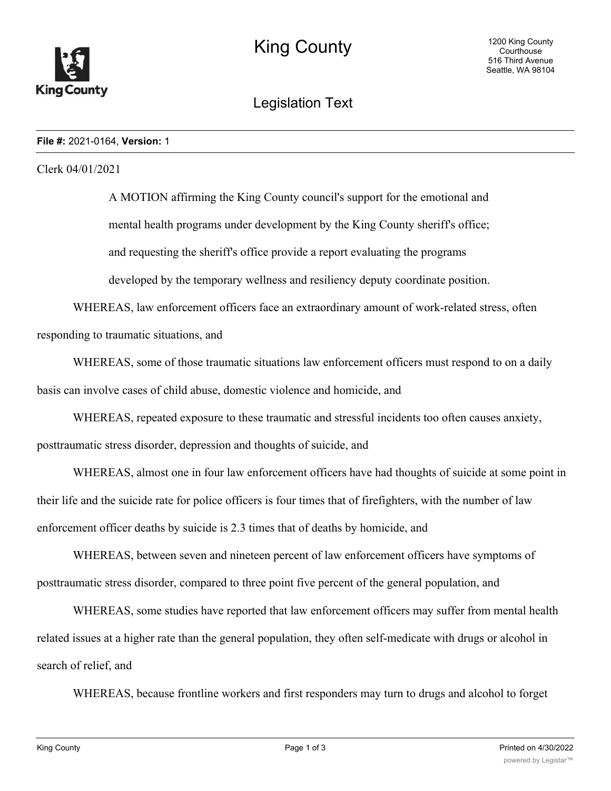

# Legislation Text

#### **File #:** 2021-0164, **Version:** 1

## Clerk 04/01/2021

A MOTION affirming the King County council's support for the emotional and mental health programs under development by the King County sheriff's office; and requesting the sheriff's office provide a report evaluating the programs developed by the temporary wellness and resiliency deputy coordinate position.

WHEREAS, law enforcement officers face an extraordinary amount of work-related stress, often responding to traumatic situations, and

WHEREAS, some of those traumatic situations law enforcement officers must respond to on a daily basis can involve cases of child abuse, domestic violence and homicide, and

WHEREAS, repeated exposure to these traumatic and stressful incidents too often causes anxiety, posttraumatic stress disorder, depression and thoughts of suicide, and

WHEREAS, almost one in four law enforcement officers have had thoughts of suicide at some point in their life and the suicide rate for police officers is four times that of firefighters, with the number of law enforcement officer deaths by suicide is 2.3 times that of deaths by homicide, and

WHEREAS, between seven and nineteen percent of law enforcement officers have symptoms of posttraumatic stress disorder, compared to three point five percent of the general population, and

WHEREAS, some studies have reported that law enforcement officers may suffer from mental health related issues at a higher rate than the general population, they often self-medicate with drugs or alcohol in search of relief, and

WHEREAS, because frontline workers and first responders may turn to drugs and alcohol to forget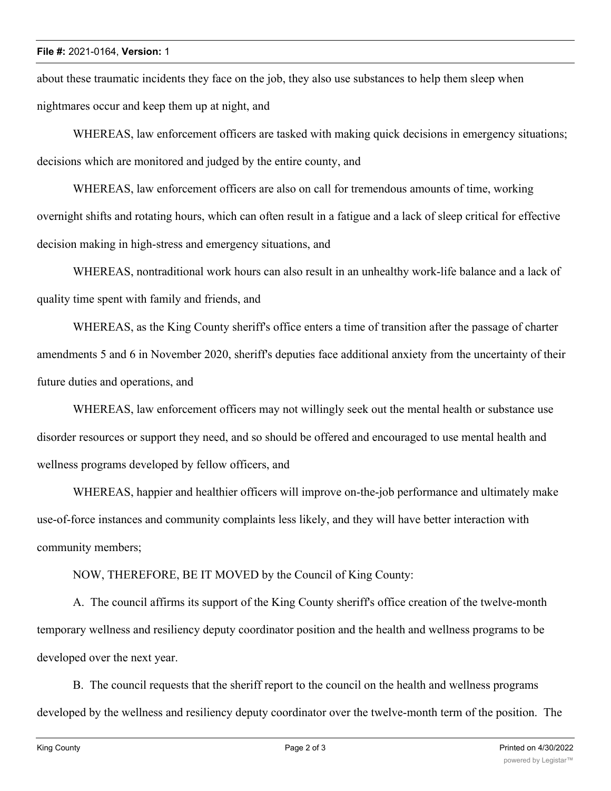## **File #:** 2021-0164, **Version:** 1

about these traumatic incidents they face on the job, they also use substances to help them sleep when nightmares occur and keep them up at night, and

WHEREAS, law enforcement officers are tasked with making quick decisions in emergency situations; decisions which are monitored and judged by the entire county, and

WHEREAS, law enforcement officers are also on call for tremendous amounts of time, working overnight shifts and rotating hours, which can often result in a fatigue and a lack of sleep critical for effective decision making in high-stress and emergency situations, and

WHEREAS, nontraditional work hours can also result in an unhealthy work-life balance and a lack of quality time spent with family and friends, and

WHEREAS, as the King County sheriff's office enters a time of transition after the passage of charter amendments 5 and 6 in November 2020, sheriff's deputies face additional anxiety from the uncertainty of their future duties and operations, and

WHEREAS, law enforcement officers may not willingly seek out the mental health or substance use disorder resources or support they need, and so should be offered and encouraged to use mental health and wellness programs developed by fellow officers, and

WHEREAS, happier and healthier officers will improve on-the-job performance and ultimately make use-of-force instances and community complaints less likely, and they will have better interaction with community members;

NOW, THEREFORE, BE IT MOVED by the Council of King County:

A. The council affirms its support of the King County sheriff's office creation of the twelve-month temporary wellness and resiliency deputy coordinator position and the health and wellness programs to be developed over the next year.

B. The council requests that the sheriff report to the council on the health and wellness programs developed by the wellness and resiliency deputy coordinator over the twelve-month term of the position. The